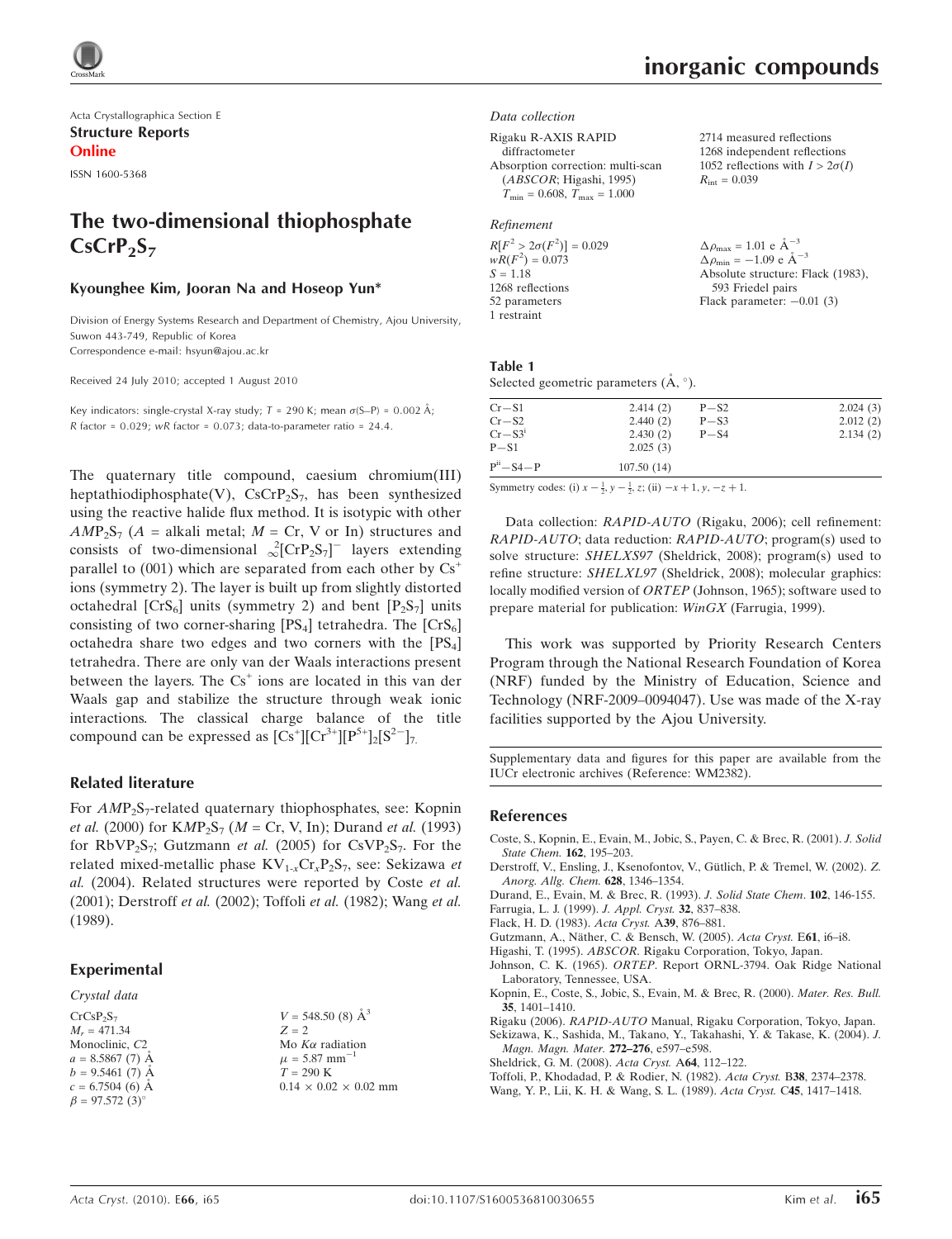Acta Crystallographica Section E Structure Reports Online

ISSN 1600-5368

# The two-dimensional thiophosphate  $CsCrP<sub>2</sub>S<sub>7</sub>$

## Kyounghee Kim, Jooran Na and Hoseop Yun\*

Division of Energy Systems Research and Department of Chemistry, Ajou University, Suwon 443-749, Republic of Korea Correspondence e-mail: hsyun@ajou.ac.kr

Received 24 July 2010; accepted 1 August 2010

Key indicators: single-crystal X-ray study;  $T = 290$  K; mean  $\sigma$ (S-P) = 0.002 Å; R factor =  $0.029$ ; wR factor =  $0.073$ ; data-to-parameter ratio = 24.4.

The quaternary title compound, caesium chromium(III) heptathiodiphosphate(V),  $CsCrP_2S_7$ , has been synthesized using the reactive halide flux method. It is isotypic with other  $AMP_2S_7$  (A = alkali metal; M = Cr, V or In) structures and consists of two-dimensional  ${}_{\infty}^{2}[\text{CrP}_{2} \text{S}_{7}]^{-}$  layers extending parallel to (001) which are separated from each other by  $Cs<sup>+</sup>$ ions (symmetry 2). The layer is built up from slightly distorted octahedral  $[CrS_6]$  units (symmetry 2) and bent  $[P_2S_7]$  units consisting of two corner-sharing  $[PS_4]$  tetrahedra. The  $[CrS_6]$ octahedra share two edges and two corners with the  $[PS_4]$ tetrahedra. There are only van der Waals interactions present between the layers. The  $Cs<sup>+</sup>$  ions are located in this van der Waals gap and stabilize the structure through weak ionic interactions. The classical charge balance of the title compound can be expressed as  $[Cs^+] [Cr^{3+}][P^{5+}]_2[S^{2-}]_7$ .

## Related literature

For  $AMP_2S_7$ -related quaternary thiophosphates, see: Kopnin *et al.* (2000) for  $KMP_2S_7$  (*M* = Cr, V, In); Durand *et al.* (1993) for  $RbVP_2S_7$ ; Gutzmann *et al.* (2005) for CsVP<sub>2</sub>S<sub>7</sub>. For the related mixed-metallic phase  $KV_{1-x}Cr_xP_2S_7$ , see: Sekizawa et al. (2004). Related structures were reported by Coste et al. (2001); Derstroff et al. (2002); Toffoli et al. (1982); Wang et al. (1989).

## Experimental

Crystal data  $CrCsP<sub>2</sub>S<sub>7</sub>$  $M_r = 471.34$ Monoclinic, C2  $a = 8.5867(7)$  Å  $b = 9.5461(7)$  Å  $c = 6.7504(6)$  Å  $\beta = 97.572 (3)$ °

 $V = 548.50$  (8)  $\AA^3$  $Z = 2$ Mo $K\alpha$  radiation  $\mu = 5.87$  mm<sup>-</sup> 1  $T = 290 K$  $0.14 \times 0.02 \times 0.02$  mm 2714 measured reflections 1268 independent reflections 1052 reflections with  $I > 2\sigma(I)$ 

 $R_{\text{int}} = 0.039$ 

#### Data collection

Rigaku R-AXIS RAPID diffractometer Absorption correction: multi-scan (ABSCOR; Higashi, 1995)  $T_{\min} = 0.608, T_{\max} = 1.000$ 

## Refinement

 $R[F^2 > 2\sigma(F^2)] = 0.029$  $wR(F^2) = 0.073$  $S = 1.18$ 1268 reflections 52 parameters 1 restraint  $\Delta \rho_{\text{max}} = 1.01 \text{ e A}^{-3}$  $\Delta \rho_{\text{min}} = -1.09 \text{ e A}^{-3}$ Absolute structure: Flack (1983), 593 Friedel pairs Flack parameter:  $-0.01$  (3)

#### Table 1 Selected geometric parameters  $(\mathring{A}, \degree)$ .

| $Cr-S1$    | 2.414(2)   | $P-S2$ | 2.024(3) |
|------------|------------|--------|----------|
| $Cr-S2$    | 2.440(2)   | $P-S3$ | 2.012(2) |
| $Cr-S3^i$  | 2.430(2)   | $P-S4$ | 2.134(2) |
| $P-S1$     | 2.025(3)   |        |          |
| $Pii-S4-P$ | 107.50(14) |        |          |

Symmetry codes: (i)  $x - \frac{1}{2}$ ,  $y - \frac{1}{2}$ , z; (ii)  $-x + 1$ ,  $y$ ,  $-z + 1$ .

Data collection: RAPID-AUTO (Rigaku, 2006); cell refinement: RAPID-AUTO; data reduction: RAPID-AUTO; program(s) used to solve structure: SHELXS97 (Sheldrick, 2008); program(s) used to refine structure: SHELXL97 (Sheldrick, 2008); molecular graphics: locally modified version of ORTEP (Johnson, 1965); software used to prepare material for publication: WinGX (Farrugia, 1999).

This work was supported by Priority Research Centers Program through the National Research Foundation of Korea (NRF) funded by the Ministry of Education, Science and Technology (NRF-2009–0094047). Use was made of the X-ray facilities supported by the Ajou University.

Supplementary data and figures for this paper are available from the IUCr electronic archives (Reference: WM2382).

#### References

- [Coste, S., Kopnin, E., Evain, M., Jobic, S., Payen, C. & Brec, R. \(2001\).](https://scripts.iucr.org/cgi-bin/cr.cgi?rm=pdfbb&cnor=wm2382&bbid=BB1) J. Solid [State Chem.](https://scripts.iucr.org/cgi-bin/cr.cgi?rm=pdfbb&cnor=wm2382&bbid=BB1) 162, 195-203.
- Derstroff, V., Ensling, J., Ksenofontov, V., Gütlich, P. & Tremel, W. (2002). Z. [Anorg. Allg. Chem.](https://scripts.iucr.org/cgi-bin/cr.cgi?rm=pdfbb&cnor=wm2382&bbid=BB2) 628, 1346–1354.
- [Durand, E., Evain, M. & Brec, R. \(1993\).](https://scripts.iucr.org/cgi-bin/cr.cgi?rm=pdfbb&cnor=wm2382&bbid=BB3) J. Solid State Chem. 102, 146-155.
- [Farrugia, L. J. \(1999\).](https://scripts.iucr.org/cgi-bin/cr.cgi?rm=pdfbb&cnor=wm2382&bbid=BB4) J. Appl. Cryst. 32, 837–838.
- [Flack, H. D. \(1983\).](https://scripts.iucr.org/cgi-bin/cr.cgi?rm=pdfbb&cnor=wm2382&bbid=BB5) Acta Cryst. A39, 876–881.
- Gutzmann, A., Näther, C. & Bensch, W. (2005). Acta Cryst. E61, i6-i8.
- Higashi, T. (1995). ABSCOR[. Rigaku Corporation, Tokyo, Japan.](https://scripts.iucr.org/cgi-bin/cr.cgi?rm=pdfbb&cnor=wm2382&bbid=BB7)
- Johnson, C. K. (1965). ORTEP[. Report ORNL-3794. Oak Ridge National](https://scripts.iucr.org/cgi-bin/cr.cgi?rm=pdfbb&cnor=wm2382&bbid=BB8) [Laboratory, Tennessee, USA.](https://scripts.iucr.org/cgi-bin/cr.cgi?rm=pdfbb&cnor=wm2382&bbid=BB8)
- [Kopnin, E., Coste, S., Jobic, S., Evain, M. & Brec, R. \(2000\).](https://scripts.iucr.org/cgi-bin/cr.cgi?rm=pdfbb&cnor=wm2382&bbid=BB9) Mater. Res. Bull. 35[, 1401–1410.](https://scripts.iucr.org/cgi-bin/cr.cgi?rm=pdfbb&cnor=wm2382&bbid=BB9)
- Rigaku (2006). RAPID-AUTO [Manual, Rigaku Corporation, Tokyo, Japan.](https://scripts.iucr.org/cgi-bin/cr.cgi?rm=pdfbb&cnor=wm2382&bbid=BB10)
- [Sekizawa, K., Sashida, M., Takano, Y., Takahashi, Y. & Takase, K. \(2004\).](https://scripts.iucr.org/cgi-bin/cr.cgi?rm=pdfbb&cnor=wm2382&bbid=BB11) J. [Magn. Magn. Mater.](https://scripts.iucr.org/cgi-bin/cr.cgi?rm=pdfbb&cnor=wm2382&bbid=BB11) 272–276, e597–e598.
- [Sheldrick, G. M. \(2008\).](https://scripts.iucr.org/cgi-bin/cr.cgi?rm=pdfbb&cnor=wm2382&bbid=BB12) Acta Cryst. A64, 112–122.
- [Toffoli, P., Khodadad, P. & Rodier, N. \(1982\).](https://scripts.iucr.org/cgi-bin/cr.cgi?rm=pdfbb&cnor=wm2382&bbid=BB13) Acta Cryst. B38, 2374–2378.
- [Wang, Y. P., Lii, K. H. & Wang, S. L. \(1989\).](https://scripts.iucr.org/cgi-bin/cr.cgi?rm=pdfbb&cnor=wm2382&bbid=BB14) Acta Cryst. C45, 1417–1418.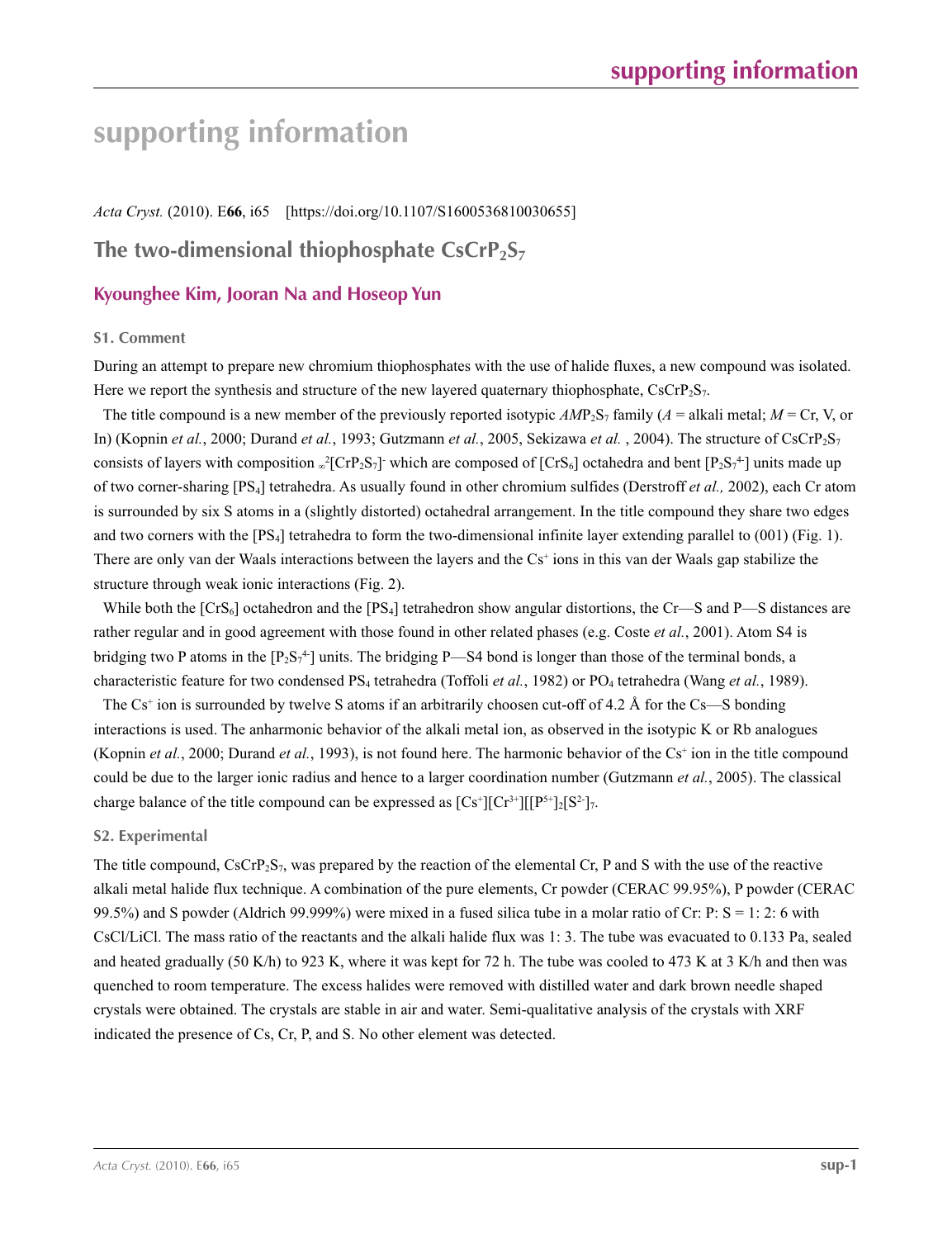# **supporting information**

*Acta Cryst.* (2010). E**66**, i65 [https://doi.org/10.1107/S1600536810030655]

# **The two-dimensional thiophosphate CsCrP<sub>2</sub>S**7

# **Kyounghee Kim, Jooran Na and Hoseop Yun**

# **S1. Comment**

During an attempt to prepare new chromium thiophosphates with the use of halide fluxes, a new compound was isolated. Here we report the synthesis and structure of the new layered quaternary thiophosphate,  $CsCrP_2S_7$ .

The title compound is a new member of the previously reported isotypic  $AMP_2S_7$  family ( $A =$  alkali metal;  $M =$  Cr, V, or In) (Kopnin *et al.*, 2000; Durand *et al.*, 1993; Gutzmann *et al.*, 2005, Sekizawa *et al.* , 2004). The structure of CsCrP2S7 consists of layers with composition  $\sqrt{2}[\text{CrP}_2\text{S}_7]$  which are composed of [CrS<sub>6</sub>] octahedra and bent [P<sub>2</sub>S<sub>7</sub><sup>4</sup>] units made up of two corner-sharing [PS4] tetrahedra. As usually found in other chromium sulfides (Derstroff *et al.,* 2002), each Cr atom is surrounded by six S atoms in a (slightly distorted) octahedral arrangement. In the title compound they share two edges and two corners with the [PS4] tetrahedra to form the two-dimensional infinite layer extending parallel to (001) (Fig. 1). There are only van der Waals interactions between the layers and the Cs<sup>+</sup> ions in this van der Waals gap stabilize the structure through weak ionic interactions (Fig. 2).

While both the  $[CrS_6]$  octahedron and the  $[PS_4]$  tetrahedron show angular distortions, the Cr—S and P—S distances are rather regular and in good agreement with those found in other related phases (e.g. Coste *et al.*, 2001). Atom S4 is bridging two P atoms in the  $[P_2S_7^4]$  units. The bridging P—S4 bond is longer than those of the terminal bonds, a characteristic feature for two condensed PS4 tetrahedra (Toffoli *et al.*, 1982) or PO4 tetrahedra (Wang *et al.*, 1989).

The Cs<sup>+</sup> ion is surrounded by twelve S atoms if an arbitrarily choosen cut-off of 4.2 Å for the Cs—S bonding interactions is used. The anharmonic behavior of the alkali metal ion, as observed in the isotypic K or Rb analogues (Kopnin *et al.*, 2000; Durand *et al.*, 1993), is not found here. The harmonic behavior of the  $Cs^+$  ion in the title compound could be due to the larger ionic radius and hence to a larger coordination number (Gutzmann *et al.*, 2005). The classical charge balance of the title compound can be expressed as  $[Cs^*][Cr^{3+}][[P^{5+}]_2[S^2]_7$ .

# **S2. Experimental**

The title compound,  $CsCrP_2S_7$ , was prepared by the reaction of the elemental Cr, P and S with the use of the reactive alkali metal halide flux technique. A combination of the pure elements, Cr powder (CERAC 99.95%), P powder (CERAC 99.5%) and S powder (Aldrich 99.999%) were mixed in a fused silica tube in a molar ratio of Cr: P: S = 1: 2: 6 with CsCl/LiCl. The mass ratio of the reactants and the alkali halide flux was 1: 3. The tube was evacuated to 0.133 Pa, sealed and heated gradually (50 K/h) to 923 K, where it was kept for 72 h. The tube was cooled to 473 K at 3 K/h and then was quenched to room temperature. The excess halides were removed with distilled water and dark brown needle shaped crystals were obtained. The crystals are stable in air and water. Semi-qualitative analysis of the crystals with XRF indicated the presence of Cs, Cr, P, and S. No other element was detected.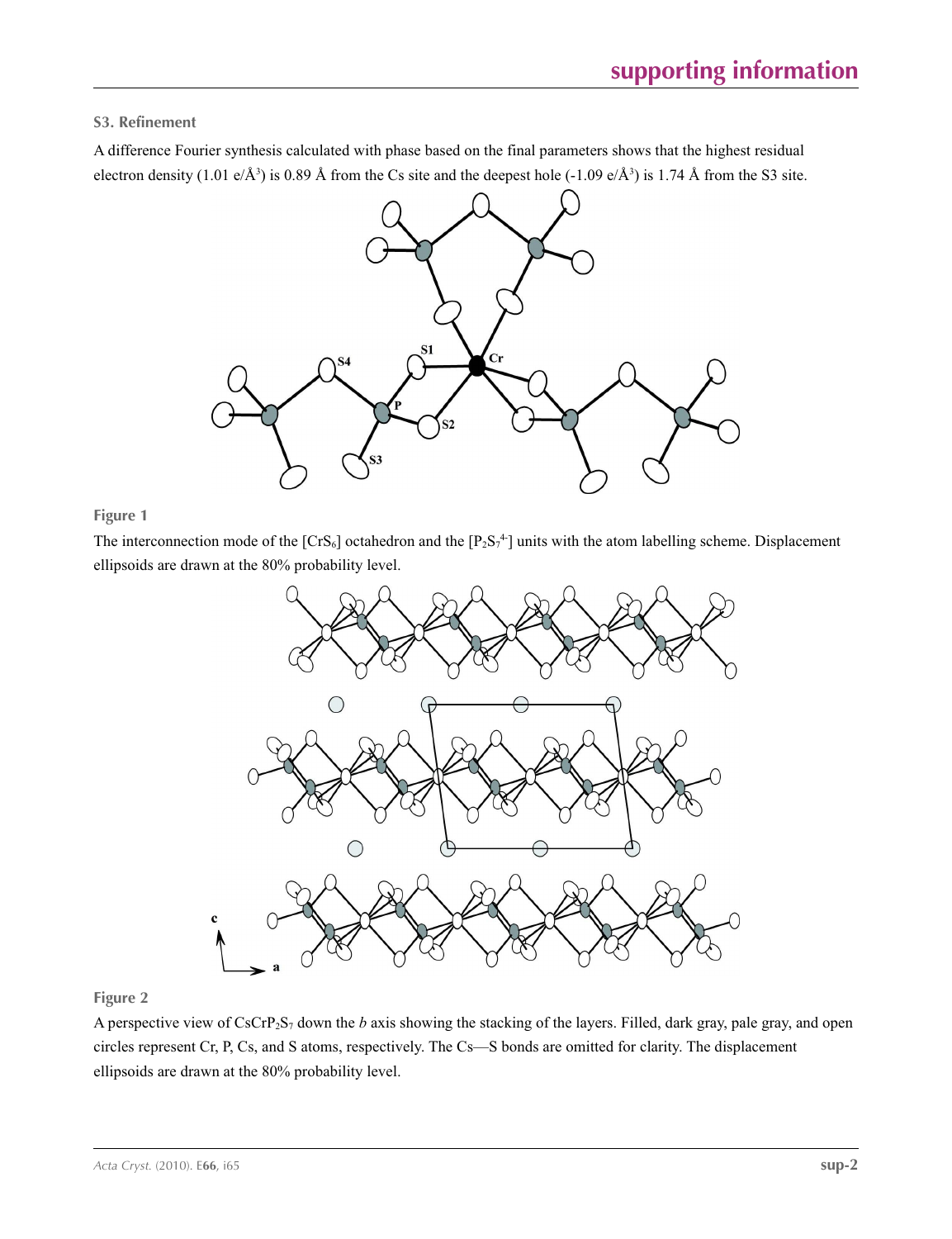# **S3. Refinement**

A difference Fourier synthesis calculated with phase based on the final parameters shows that the highest residual electron density (1.01 e/Å<sup>3</sup>) is 0.89 Å from the Cs site and the deepest hole (-1.09 e/Å<sup>3</sup>) is 1.74 Å from the S3 site.



# **Figure 1**

The interconnection mode of the  $[CrS_6]$  octahedron and the  $[P_2S_7^4]$  units with the atom labelling scheme. Displacement ellipsoids are drawn at the 80% probability level.



# **Figure 2**

A perspective view of CsCrP2S7 down the *b* axis showing the stacking of the layers. Filled, dark gray, pale gray, and open circles represent Cr, P, Cs, and S atoms, respectively. The Cs—S bonds are omitted for clarity. The displacement ellipsoids are drawn at the 80% probability level.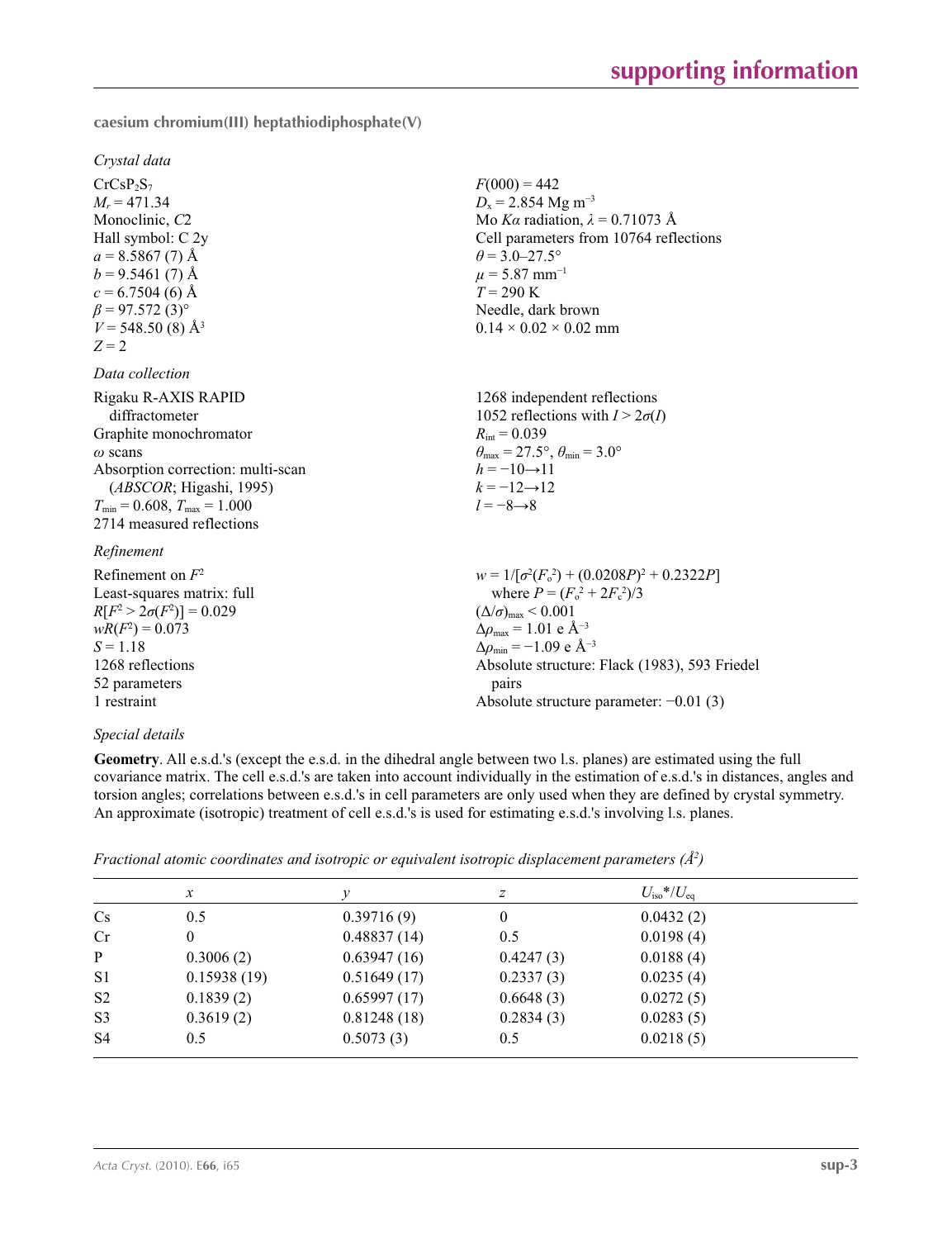**caesium chromium(III) heptathiodiphosphate(V)** 

*Crystal data*

 $CrCsP_2S_7$  $M_r = 471.34$ Monoclinic, *C*2 Hall symbol: C 2y  $a = 8.5867(7)$  Å  $b = 9.5461(7)$  Å  $c = 6.7504(6)$  Å  $\beta$  = 97.572 (3)<sup>o</sup>  $V = 548.50(8)$  Å<sup>3</sup>  $Z = 2$ 

## *Data collection*

| Rigaku R-AXIS RAPID                    | 1268 independent reflections                                            |
|----------------------------------------|-------------------------------------------------------------------------|
| diffractometer                         | 1052 reflections with $I > 2\sigma(I)$                                  |
| Graphite monochromator                 | $R_{\text{int}} = 0.039$                                                |
| $\omega$ scans                         | $\theta_{\text{max}} = 27.5^{\circ}, \theta_{\text{min}} = 3.0^{\circ}$ |
| Absorption correction: multi-scan      | $h = -10 \rightarrow 11$                                                |
| (ABSCOR; Higashi, 1995)                | $k = -12 \rightarrow 12$                                                |
| $T_{\min}$ = 0.608, $T_{\max}$ = 1.000 | $l = -8 \rightarrow 8$                                                  |
| 2714 measured reflections              |                                                                         |
| Refinement                             |                                                                         |
| Refinement on $F^2$                    | $w = 1/[\sigma^2(F_0^2) + (0.0208P)^2 + 0.2322P]$                       |

# Least-squares matrix: full  $R[F^2 > 2\sigma(F^2)] = 0.029$  $wR(F^2) = 0.073$  $S = 1.18$ 1268 reflections 52 parameters

# 1 restraint

# *Special details*

**Geometry**. All e.s.d.'s (except the e.s.d. in the dihedral angle between two l.s. planes) are estimated using the full covariance matrix. The cell e.s.d.'s are taken into account individually in the estimation of e.s.d.'s in distances, angles and torsion angles; correlations between e.s.d.'s in cell parameters are only used when they are defined by crystal symmetry. An approximate (isotropic) treatment of cell e.s.d.'s is used for estimating e.s.d.'s involving l.s. planes.

 $F(000) = 442$  $D_x = 2.854$  Mg m<sup>-3</sup>

 $\theta$  = 3.0–27.5°  $\mu$  = 5.87 mm<sup>-1</sup>  $T = 290 \text{ K}$ 

Needle, dark brown  $0.14 \times 0.02 \times 0.02$  mm

Mo *Kα* radiation, *λ* = 0.71073 Å Cell parameters from 10764 reflections

where  $P = (F_o^2 + 2F_c^2)/3$ 

Absolute structure: Flack (1983), 593 Friedel

Absolute structure parameter: −0.01 (3)

 $(\Delta/\sigma)_{\text{max}}$  < 0.001  $Δρ<sub>max</sub> = 1.01 e Å<sup>-3</sup>$  $\Delta\rho_{\rm min} = -1.09 \text{ e A}^{-3}$ 

pairs

*Fractional atomic coordinates and isotropic or equivalent isotropic displacement parameters (Å2 )*

|                | $\mathcal{X}$ |             | Ζ         | $U_{\rm iso}$ */ $U_{\rm eq}$ |  |
|----------------|---------------|-------------|-----------|-------------------------------|--|
| $\mathbf{C}$ s | 0.5           | 0.39716(9)  | 0         | 0.0432(2)                     |  |
| Cr             | 0             | 0.48837(14) | 0.5       | 0.0198(4)                     |  |
| $\mathbf{P}$   | 0.3006(2)     | 0.63947(16) | 0.4247(3) | 0.0188(4)                     |  |
| S <sub>1</sub> | 0.15938(19)   | 0.51649(17) | 0.2337(3) | 0.0235(4)                     |  |
| S <sub>2</sub> | 0.1839(2)     | 0.65997(17) | 0.6648(3) | 0.0272(5)                     |  |
| S <sub>3</sub> | 0.3619(2)     | 0.81248(18) | 0.2834(3) | 0.0283(5)                     |  |
| S <sub>4</sub> | 0.5           | 0.5073(3)   | 0.5       | 0.0218(5)                     |  |